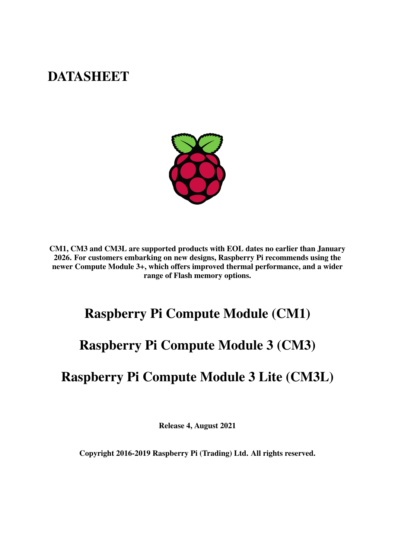# **DATASHEET**



CM1, CM3 and CM3L are supported products with EOL dates no earlier than January 2026. For customers embarking on new designs, Raspberry Pi recommends using the newer Compute Module 3+, which offers improved thermal performance, and a wider range of Flash memory options.

# Raspberry Pi Compute Module (CM1)

# Raspberry Pi Compute Module 3 (CM3)

# Raspberry Pi Compute Module 3 Lite (CM3L)

Release 4, August 2021

Copyright 2016-2019 Raspberry Pi (Trading) Ltd. All rights reserved.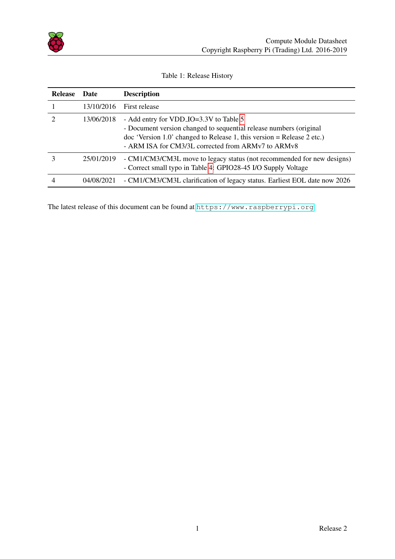

<span id="page-1-0"></span>

| <b>Release</b> | Date       | <b>Description</b>                                                                                                                                                                                                                                |
|----------------|------------|---------------------------------------------------------------------------------------------------------------------------------------------------------------------------------------------------------------------------------------------------|
|                | 13/10/2016 | First release                                                                                                                                                                                                                                     |
|                | 13/06/2018 | - Add entry for VDD_IO=3.3V to Table 5<br>- Document version changed to sequential release numbers (original<br>$\alpha$ 'Version 1.0' changed to Release 1, this version = Release 2 etc.)<br>- ARM ISA for CM3/3L corrected from ARMv7 to ARMv8 |
|                | 25/01/2019 | - CM1/CM3/CM3L move to legacy status (not recommended for new designs)<br>- Correct small typo in Table 4: GPIO28-45 I/O Supply Voltage                                                                                                           |
|                | 04/08/2021 | - CM1/CM3/CM3L clarification of legacy status. Earliest EOL date now 2026                                                                                                                                                                         |

#### Table 1: Release History

The latest release of this document can be found at <https://www.raspberrypi.org>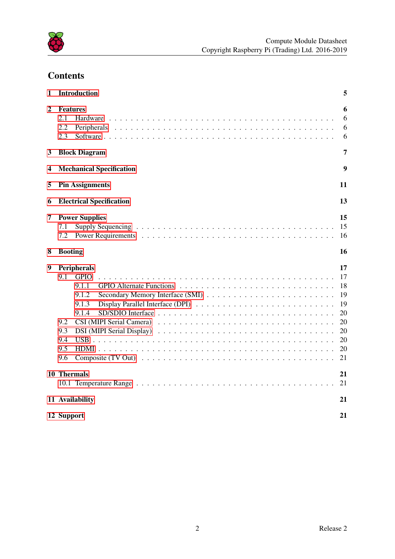

## **Contents**

| $\mathbf{1}$ | <b>Introduction</b>                                                                                                                          | 5                                                              |
|--------------|----------------------------------------------------------------------------------------------------------------------------------------------|----------------------------------------------------------------|
| 2            | <b>Features</b><br>2.1<br>Hardware<br>2.2<br>Peripherals<br>2.3                                                                              | 6<br>6<br>6<br>6                                               |
| 3            | <b>Block Diagram</b>                                                                                                                         | 7                                                              |
| 4            | <b>Mechanical Specification</b>                                                                                                              | 9                                                              |
| 5            | <b>Pin Assignments</b>                                                                                                                       | 11                                                             |
| 6            | <b>Electrical Specification</b>                                                                                                              | 13                                                             |
| 7<br>8       | <b>Power Supplies</b><br>7.1<br>7.2<br><b>Booting</b>                                                                                        | 15<br>15<br>16<br>16                                           |
|              |                                                                                                                                              |                                                                |
| 9            | <b>Peripherals</b><br><b>GPIO</b><br>9.1<br>9.1.1<br>9.1.2<br>9.1.3<br>9.1.4<br>9.2<br>9.3<br>DSI (MIPI Serial Display)<br>9.4<br>9.5<br>9.6 | 17<br>17<br>18<br>19<br>19<br>20<br>20<br>20<br>20<br>20<br>21 |
|              | 10 Thermals                                                                                                                                  | 21<br>21                                                       |
|              | 11 Availability                                                                                                                              | 21                                                             |
|              | 12 Support                                                                                                                                   | 21                                                             |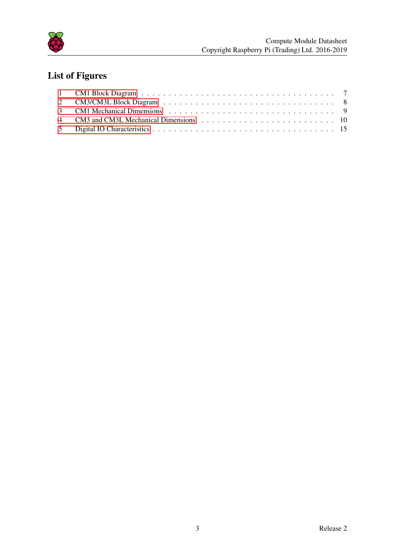

# List of Figures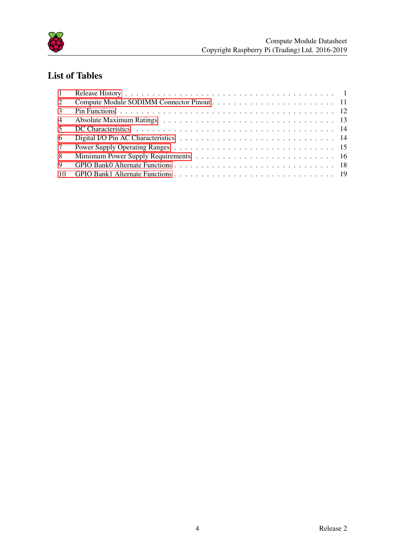

## List of Tables

| 1               |  |
|-----------------|--|
| 2 <sup>1</sup>  |  |
| $\mathcal{E}$   |  |
| $\overline{4}$  |  |
| $\sim$          |  |
| 6               |  |
| $7\overline{ }$ |  |
| 8               |  |
| 9               |  |
|                 |  |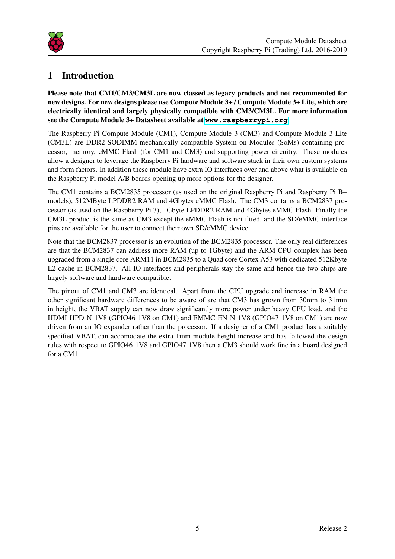

## <span id="page-5-0"></span>1 Introduction

Please note that CM1/CM3/CM3L are now classed as legacy products and not recommended for new designs. For new designs please use Compute Module 3+ / Compute Module 3+ Lite, which are electrically identical and largely physically compatible with CM3/CM3L. For more information see the Compute Module 3+ Datasheet available at **<www.raspberrypi.org>**

The Raspberry Pi Compute Module (CM1), Compute Module 3 (CM3) and Compute Module 3 Lite (CM3L) are DDR2-SODIMM-mechanically-compatible System on Modules (SoMs) containing processor, memory, eMMC Flash (for CM1 and CM3) and supporting power circuitry. These modules allow a designer to leverage the Raspberry Pi hardware and software stack in their own custom systems and form factors. In addition these module have extra IO interfaces over and above what is available on the Raspberry Pi model A/B boards opening up more options for the designer.

The CM1 contains a BCM2835 processor (as used on the original Raspberry Pi and Raspberry Pi B+ models), 512MByte LPDDR2 RAM and 4Gbytes eMMC Flash. The CM3 contains a BCM2837 processor (as used on the Raspberry Pi 3), 1Gbyte LPDDR2 RAM and 4Gbytes eMMC Flash. Finally the CM3L product is the same as CM3 except the eMMC Flash is not fitted, and the SD/eMMC interface pins are available for the user to connect their own SD/eMMC device.

Note that the BCM2837 processor is an evolution of the BCM2835 processor. The only real differences are that the BCM2837 can address more RAM (up to 1Gbyte) and the ARM CPU complex has been upgraded from a single core ARM11 in BCM2835 to a Quad core Cortex A53 with dedicated 512Kbyte L2 cache in BCM2837. All IO interfaces and peripherals stay the same and hence the two chips are largely software and hardware compatible.

The pinout of CM1 and CM3 are identical. Apart from the CPU upgrade and increase in RAM the other significant hardware differences to be aware of are that CM3 has grown from 30mm to 31mm in height, the VBAT supply can now draw significantly more power under heavy CPU load, and the HDMI HPD N 1V8 (GPIO46 1V8 on CM1) and EMMC EN N 1V8 (GPIO47 1V8 on CM1) are now driven from an IO expander rather than the processor. If a designer of a CM1 product has a suitably specified VBAT, can accomodate the extra 1mm module height increase and has followed the design rules with respect to GPIO46 1V8 and GPIO47 1V8 then a CM3 should work fine in a board designed for a CM1.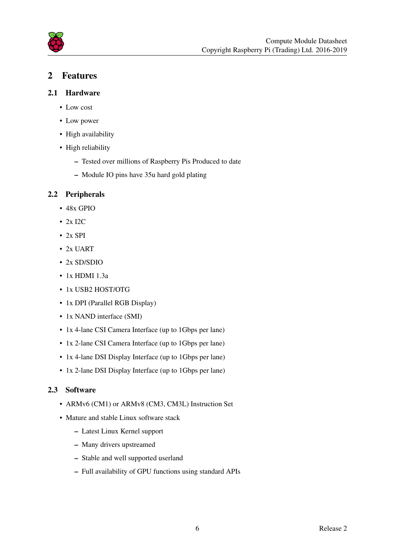

### <span id="page-6-0"></span>2 Features

- <span id="page-6-1"></span>2.1 Hardware
	- Low cost
	- Low power
	- High availability
	- High reliability
		- Tested over millions of Raspberry Pis Produced to date
		- Module IO pins have 35u hard gold plating

#### <span id="page-6-2"></span>2.2 Peripherals

- 48x GPIO
- 2x I2C
- $\cdot$  2x SPI
- 2x UART
- 2x SD/SDIO
- 1x HDMI 1.3a
- 1x USB2 HOST/OTG
- 1x DPI (Parallel RGB Display)
- 1x NAND interface (SMI)
- 1x 4-lane CSI Camera Interface (up to 1Gbps per lane)
- 1x 2-lane CSI Camera Interface (up to 1Gbps per lane)
- 1x 4-lane DSI Display Interface (up to 1Gbps per lane)
- 1x 2-lane DSI Display Interface (up to 1Gbps per lane)

### <span id="page-6-3"></span>2.3 Software

- ARMv6 (CM1) or ARMv8 (CM3, CM3L) Instruction Set
- Mature and stable Linux software stack
	- Latest Linux Kernel support
	- Many drivers upstreamed
	- Stable and well supported userland
	- Full availability of GPU functions using standard APIs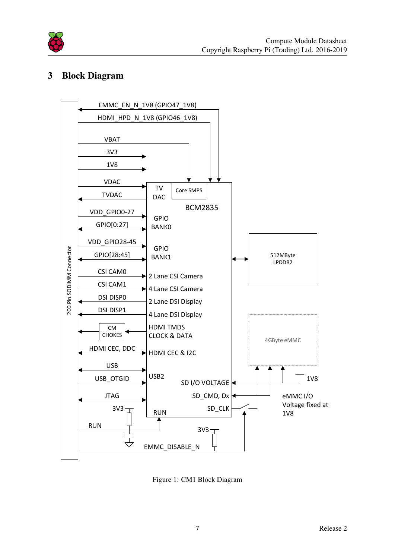

## <span id="page-7-0"></span>3 Block Diagram

<span id="page-7-1"></span>

Figure 1: CM1 Block Diagram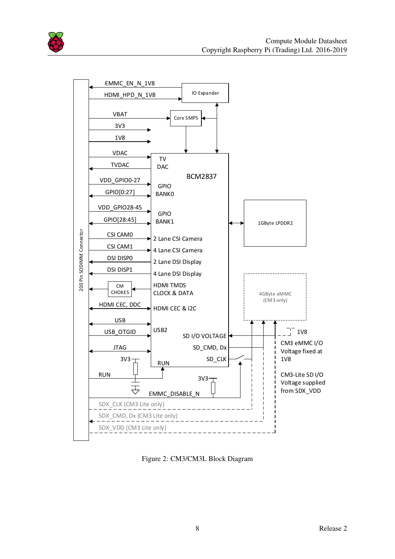

<span id="page-8-0"></span>

Figure 2: CM3/CM3L Block Diagram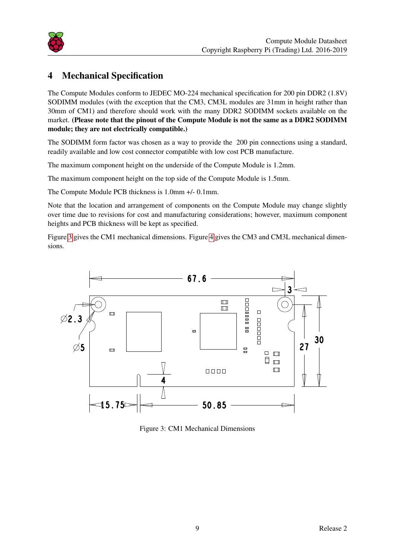

## <span id="page-9-0"></span>4 Mechanical Specification

The Compute Modules conform to JEDEC MO-224 mechanical specification for 200 pin DDR2 (1.8V) SODIMM modules (with the exception that the CM3, CM3L modules are 31mm in height rather than 30mm of CM1) and therefore should work with the many DDR2 SODIMM sockets available on the market. (Please note that the pinout of the Compute Module is not the same as a DDR2 SODIMM module; they are not electrically compatible.)

The SODIMM form factor was chosen as a way to provide the 200 pin connections using a standard, readily available and low cost connector compatible with low cost PCB manufacture.

The maximum component height on the underside of the Compute Module is 1.2mm.

The maximum component height on the top side of the Compute Module is 1.5mm.

The Compute Module PCB thickness is 1.0mm +/- 0.1mm.

Note that the location and arrangement of components on the Compute Module may change slightly over time due to revisions for cost and manufacturing considerations; however, maximum component heights and PCB thickness will be kept as specified.

Figure [3](#page-9-1) gives the CM1 mechanical dimensions. Figure [4](#page-10-0) gives the CM3 and CM3L mechanical dimensions.

<span id="page-9-1"></span>

Figure 3: CM1 Mechanical Dimensions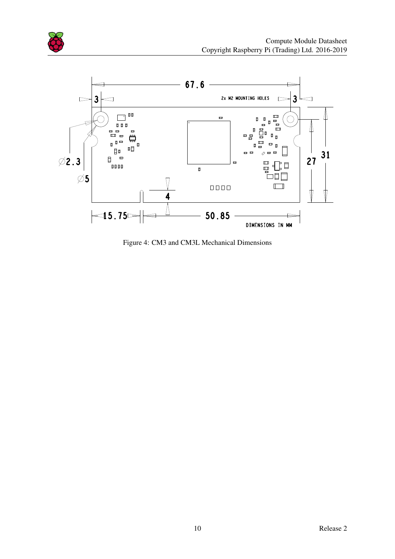

<span id="page-10-0"></span>

Figure 4: CM3 and CM3L Mechanical Dimensions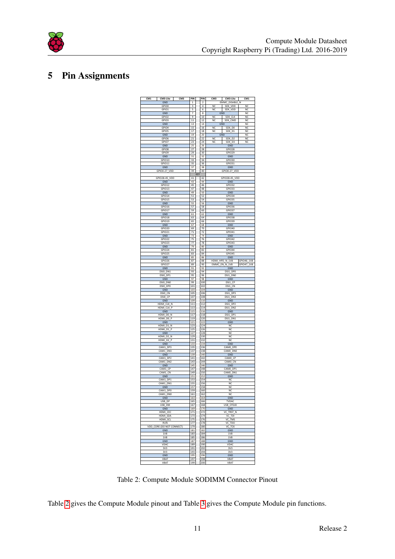

## <span id="page-11-1"></span><span id="page-11-0"></span>5 Pin Assignments



Table 2: Compute Module SODIMM Connector Pinout

Table [2](#page-11-1) gives the Compute Module pinout and Table [3](#page-12-0) gives the Compute Module pin functions.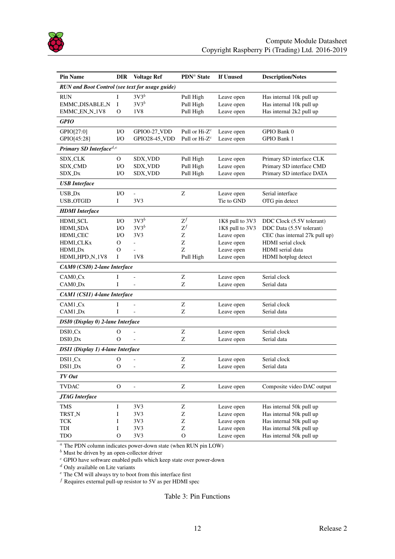

<span id="page-12-0"></span>

| <b>Pin Name</b>                                        | <b>DIR</b>   | <b>Voltage Ref</b>       | ${\bf PDN^a}$ State | If Unused       | <b>Description/Notes</b>       |
|--------------------------------------------------------|--------------|--------------------------|---------------------|-----------------|--------------------------------|
| <b>RUN</b> and Boot Control (see text for usage guide) |              |                          |                     |                 |                                |
| <b>RUN</b>                                             | I            | $3V3^b$                  | Pull High           | Leave open      | Has internal 10k pull up       |
| <b>EMMC_DISABLE_N</b>                                  | I            | $3V3^b$                  | Pull High           | Leave open      | Has internal 10k pull up       |
| EMMC_EN_N_1V8                                          | О            | 1V8                      | Pull High           | Leave open      | Has internal 2k2 pull up       |
| <b>GPIO</b>                                            |              |                          |                     |                 |                                |
| GPIO[27:0]                                             | I/O          | GPIO0-27_VDD             | Pull or $Hi-Zc$     | Leave open      | GPIO Bank 0                    |
| GPIO[45:28]                                            | I/O          | <b>GPIO28-45_VDD</b>     | Pull or $Hi-Zc$     | Leave open      | GPIO Bank 1                    |
| Primary SD Interface <sup>d,e</sup>                    |              |                          |                     |                 |                                |
| <b>SDX_CLK</b>                                         | 0            | <b>SDX_VDD</b>           | Pull High           | Leave open      | Primary SD interface CLK       |
| SDX_CMD                                                | I/O          | <b>SDX_VDD</b>           | Pull High           | Leave open      | Primary SD interface CMD       |
| SDX_Dx                                                 | I/O          | <b>SDX_VDD</b>           | Pull High           | Leave open      | Primary SD interface DATA      |
| <b>USB</b> Interface                                   |              |                          |                     |                 |                                |
| USB_Dx                                                 | I/O          |                          | Ζ                   | Leave open      | Serial interface               |
| <b>USB_OTGID</b>                                       | I            | 3V3                      |                     | Tie to GND      | OTG pin detect                 |
| <b>HDMI</b> Interface                                  |              |                          |                     |                 |                                |
| HDMI_SCL                                               | I/O          | $3V3^b$                  | $Z^f$               | 1K8 pull to 3V3 | DDC Clock (5.5V tolerant)      |
| <b>HDMLSDA</b>                                         | I/O          | $3V3^b$                  | $\mathrm{Z}^f$      | 1K8 pull to 3V3 | DDC Data (5.5V tolerant)       |
| <b>HDMI_CEC</b>                                        | I/O          | 3V <sub>3</sub>          | Ζ                   | Leave open      | CEC (has internal 27k pull up) |
| HDMI_CLKx                                              | О            | $\blacksquare$           | Ζ                   | Leave open      | <b>HDMI</b> serial clock       |
| HDMI_Dx                                                | O            |                          | Z                   | Leave open      | HDMI serial data               |
| HDMI_HPD_N_1V8                                         | I            | 1V8                      | Pull High           | Leave open      | HDMI hotplug detect            |
| CAM0 (CSI0) 2-lane Interface                           |              |                          |                     |                 |                                |
| CAM0 <sub>-Cx</sub>                                    | I            |                          | Ζ                   | Leave open      | Serial clock                   |
| CAM0_Dx                                                | I            | $\overline{a}$           | Ζ                   | Leave open      | Serial data                    |
| CAM1 (CSI1) 4-lane Interface                           |              |                          |                     |                 |                                |
| CAM1_Cx                                                | I            |                          | Ζ                   | Leave open      | Serial clock                   |
| CAM1_Dx                                                | I            |                          | Ζ                   | Leave open      | Serial data                    |
| DSI0 (Display 0) 2-lane Interface                      |              |                          |                     |                 |                                |
| $DSI0_Cx$                                              | О            |                          | Ζ                   | Leave open      | Serial clock                   |
| DSI0_Dx                                                | $\Omega$     | ÷,                       | Z                   | Leave open      | Serial data                    |
| DSI1 (Display 1) 4-lane Interface                      |              |                          |                     |                 |                                |
| DSI1_Cx                                                | О            |                          | Ζ                   | Leave open      | Serial clock                   |
| DSI1_Dx                                                | O            | $\sim$                   | Z                   | Leave open      | Serial data                    |
| TV Out                                                 |              |                          |                     |                 |                                |
| <b>TVDAC</b>                                           | $\mathbf{O}$ | $\overline{\phantom{0}}$ | Ζ                   | Leave open      | Composite video DAC output     |
| <b>JTAG</b> Interface                                  |              |                          |                     |                 |                                |
| <b>TMS</b>                                             | I            | 3V3                      | Ζ                   | Leave open      | Has internal 50k pull up       |
| TRST_N                                                 | I            | 3V3                      | Z                   | Leave open      | Has internal 50k pull up       |
| <b>TCK</b>                                             | I            | 3V3                      | Ζ                   | Leave open      | Has internal 50k pull up       |
| TDI                                                    | I            | 3V3                      | Z                   | Leave open      | Has internal 50k pull up       |
| TDO                                                    | $\mathbf{O}$ | 3V3                      | $\mathbf{O}$        | Leave open      | Has internal 50k pull up       |

<sup>a</sup> The PDN column indicates power-down state (when RUN pin LOW)

 $<sup>b</sup>$  Must be driven by an open-collector driver</sup>

 $c$  GPIO have software enabled pulls which keep state over power-down

 $\frac{d}{dt}$  Only available on Lite variants

<sup>e</sup> The CM will always try to boot from this interface first

 $f$  Requires external pull-up resistor to 5V as per HDMI spec

Table 3: Pin Functions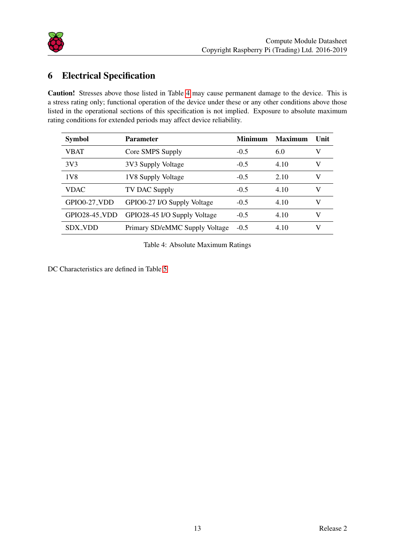

## <span id="page-13-1"></span>6 Electrical Specification

Caution! Stresses above those listed in Table [4](#page-13-0) may cause permanent damage to the device. This is a stress rating only; functional operation of the device under these or any other conditions above those listed in the operational sections of this specification is not implied. Exposure to absolute maximum rating conditions for extended periods may affect device reliability.

<span id="page-13-0"></span>

| <b>Symbol</b> | <b>Parameter</b>               | <b>Minimum</b> | <b>Maximum</b> | Unit |
|---------------|--------------------------------|----------------|----------------|------|
| VBAT          | Core SMPS Supply               | $-0.5$         | 6.0            | V    |
| 3V3           | 3V3 Supply Voltage             | $-0.5$         | 4.10           | V    |
| 1V8           | 1V8 Supply Voltage             | $-0.5$         | 2.10           | V    |
| <b>VDAC</b>   | TV DAC Supply                  | $-0.5$         | 4.10           | V    |
| GPIO0-27_VDD  | GPIO0-27 I/O Supply Voltage    | $-0.5$         | 4.10           | V    |
| GPIO28-45_VDD | GPIO28-45 I/O Supply Voltage   | $-0.5$         | 4.10           | V    |
| SDX VDD       | Primary SD/eMMC Supply Voltage | $-0.5$         | 4.10           | V    |

Table 4: Absolute Maximum Ratings

DC Characteristics are defined in Table [5](#page-14-0)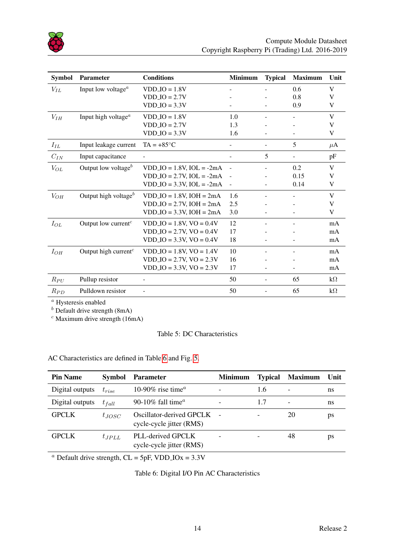

<span id="page-14-0"></span>

| <b>Symbol</b>      | <b>Parameter</b>                             | <b>Conditions</b>               | <b>Minimum</b> | <b>Typical</b>           | <b>Maximum</b> | Unit      |
|--------------------|----------------------------------------------|---------------------------------|----------------|--------------------------|----------------|-----------|
| $V_{IL}$           | Input low voltage <sup><i>a</i></sup>        | $VDDIO = 1.8V$                  |                |                          | 0.6            | V         |
|                    |                                              | $VDDIO = 2.7V$                  |                |                          | 0.8            | V         |
|                    |                                              | $VDDIO = 3.3V$                  |                |                          | 0.9            | V         |
| $V_{IH}$           | Input high voltage <sup><math>a</math></sup> | $VDDIO = 1.8V$                  | 1.0            |                          |                | V         |
|                    |                                              | $VDDIO = 2.7V$                  | 1.3            |                          |                | V         |
|                    |                                              | $VDDIO = 3.3V$                  | 1.6            |                          |                | V         |
| $\mathcal{I}_{IL}$ | Input leakage current                        | $TA = +85^{\circ}C$             |                | $\overline{\phantom{0}}$ | 5              | $\mu$ A   |
| $C_{IN}$           | Input capacitance                            |                                 |                | 5                        |                | pF        |
| $V_{OL}$           | Output low voltage $b$                       | $VDD\_IO = 1.8V$ , $IOL = -2mA$ |                |                          | 0.2            | V         |
|                    |                                              | $VDDIO = 2.7V$ , $IOL = -2mA$   | $\sim$         |                          | 0.15           | V         |
|                    |                                              | $VDDIO = 3.3V$ , $IOL = -2mA$   | $\overline{a}$ |                          | 0.14           | V         |
| $V_{OH}$           | Output high voltage $b$                      | $VDDIO = 1.8V$ , $IOH = 2mA$    | 1.6            |                          |                | V         |
|                    |                                              | $VDD\_IO = 2.7V$ , $IOH = 2mA$  | 2.5            |                          |                | V         |
|                    |                                              | $VDD\_IO = 3.3V$ , $IOH = 2mA$  | 3.0            |                          |                | V         |
| $I_{OL}$           | Output low current <sup>c</sup>              | $VDD\_IO = 1.8V$ , $VO = 0.4V$  | 12             |                          |                | mA        |
|                    |                                              | $VDDIO = 2.7V$ , $VO = 0.4V$    | 17             |                          |                | mA        |
|                    |                                              | $VDDIO = 3.3V, VO = 0.4V$       | 18             |                          |                | mA        |
| $I_{OH}$           | Output high current $c$                      | $VDDIO = 1.8V, VO = 1.4V$       | 10             |                          |                | mA        |
|                    |                                              | $VDDIO = 2.7V$ , $VO = 2.3V$    | 16             |                          |                | mA        |
|                    |                                              | $VDDIO = 3.3V, VO = 2.3V$       | 17             |                          |                | mA        |
| $R_{PU}$           | Pullup resistor                              | $\overline{\phantom{a}}$        | 50             | ÷.                       | 65             | $k\Omega$ |
| $R_{PD}$           | Pulldown resistor                            |                                 | 50             | ÷                        | 65             | $k\Omega$ |

<sup>a</sup> Hysteresis enabled

 $<sup>b</sup>$  Default drive strength (8mA)</sup>

 $c$  Maximum drive strength (16mA)

#### Table 5: DC Characteristics

AC Characteristics are defined in Table [6](#page-14-1) and Fig. [5.](#page-15-2)

<span id="page-14-1"></span>

| <b>Pin Name</b> | <b>Symbol</b> | <b>Parameter</b>                                     | <b>Minimum</b> | <b>Typical</b> | <b>Maximum</b> | Unit |
|-----------------|---------------|------------------------------------------------------|----------------|----------------|----------------|------|
| Digital outputs | $t_{rise}$    | 10-90% rise time <sup><math>a</math></sup>           |                | 1.6            | ۰              | ns   |
| Digital outputs | $t_{fall}$    | 90-10% fall time <sup><math>a</math></sup>           |                | 1.7            | ۰              | ns   |
| <b>GPCLK</b>    | $t_{JOSC}$    | Oscillator-derived GPCLK<br>cycle-cycle jitter (RMS) |                |                | 20             | ps   |
| <b>GPCLK</b>    | $t_{JPLL}$    | PLL-derived GPCLK<br>cycle-cycle jitter (RMS)        |                |                | 48             | ps   |

<sup>a</sup> Default drive strength,  $CL = 5pF$ , VDD<sub>-IOx</sub> = 3.3V

Table 6: Digital I/O Pin AC Characteristics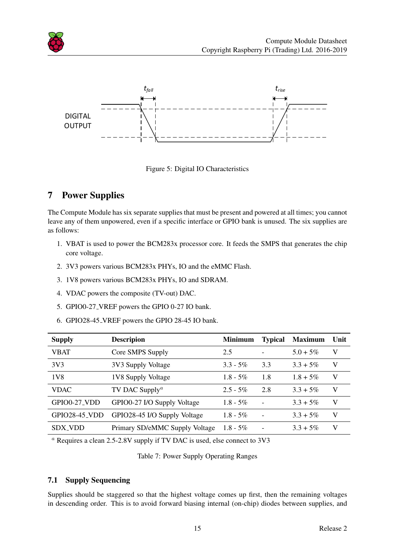

<span id="page-15-2"></span>

Figure 5: Digital IO Characteristics

## <span id="page-15-0"></span>7 Power Supplies

The Compute Module has six separate supplies that must be present and powered at all times; you cannot leave any of them unpowered, even if a specific interface or GPIO bank is unused. The six supplies are as follows:

- 1. VBAT is used to power the BCM283x processor core. It feeds the SMPS that generates the chip core voltage.
- 2. 3V3 powers various BCM283x PHYs, IO and the eMMC Flash.
- 3. 1V8 powers various BCM283x PHYs, IO and SDRAM.
- 4. VDAC powers the composite (TV-out) DAC.
- 5. GPIO0-27 VREF powers the GPIO 0-27 IO bank.
- 6. GPIO28-45 VREF powers the GPIO 28-45 IO bank.

<span id="page-15-3"></span>

| <b>Supply</b>        | <b>Descripion</b>                       | <b>Minimum</b> | <b>Typical</b> | <b>Maximum</b> | Unit |
|----------------------|-----------------------------------------|----------------|----------------|----------------|------|
| <b>VBAT</b>          | Core SMPS Supply                        | 2.5            |                | $5.0 + 5\%$    | V    |
| 3V <sub>3</sub>      | 3V3 Supply Voltage                      | $3.3 - 5\%$    | 3.3            | $3.3 + 5\%$    | V    |
| 1V8                  | 1V8 Supply Voltage                      | $1.8 - 5\%$    | 1.8            | $1.8 + 5\%$    | V    |
| <b>VDAC</b>          | TV DAC Supply <sup><math>a</math></sup> | $2.5 - 5\%$    | 2.8            | $3.3 + 5\%$    | V    |
| GPIO0-27_VDD         | GPIO0-27 I/O Supply Voltage             | $1.8 - 5\%$    |                | $3.3 + 5\%$    | V    |
| <b>GPIO28-45_VDD</b> | GPIO28-45 I/O Supply Voltage            | $1.8 - 5\%$    |                | $3.3 + 5\%$    | V    |
| <b>SDX_VDD</b>       | Primary SD/eMMC Supply Voltage          | $1.8 - 5\%$    |                | $3.3 + 5\%$    | V    |

<sup>a</sup> Requires a clean 2.5-2.8V supply if TV DAC is used, else connect to 3V3

Table 7: Power Supply Operating Ranges

#### <span id="page-15-1"></span>7.1 Supply Sequencing

Supplies should be staggered so that the highest voltage comes up first, then the remaining voltages in descending order. This is to avoid forward biasing internal (on-chip) diodes between supplies, and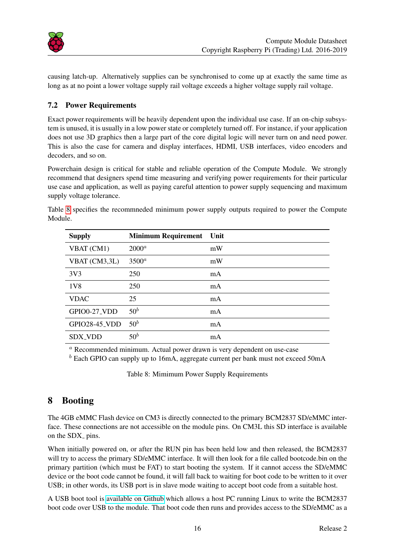

causing latch-up. Alternatively supplies can be synchronised to come up at exactly the same time as long as at no point a lower voltage supply rail voltage exceeds a higher voltage supply rail voltage.

#### <span id="page-16-0"></span>7.2 Power Requirements

Exact power requirements will be heavily dependent upon the individual use case. If an on-chip subsystem is unused, it is usually in a low power state or completely turned off. For instance, if your application does not use 3D graphics then a large part of the core digital logic will never turn on and need power. This is also the case for camera and display interfaces, HDMI, USB interfaces, video encoders and decoders, and so on.

Powerchain design is critical for stable and reliable operation of the Compute Module. We strongly recommend that designers spend time measuring and verifying power requirements for their particular use case and application, as well as paying careful attention to power supply sequencing and maximum supply voltage tolerance.

<span id="page-16-2"></span>

| <b>Supply</b>   | <b>Minimum Requirement</b> | Unit |
|-----------------|----------------------------|------|
| VBAT (CM1)      | $2000^a$                   | mW   |
| VBAT (CM3,3L)   | $3500^a$                   | mW   |
| 3V <sub>3</sub> | 250                        | mA   |
| 1 <sub>V8</sub> | 250                        | mA   |
| <b>VDAC</b>     | 25                         | mA   |
| GPIO0-27_VDD    | $50^b$                     | mA   |
| GPIO28-45_VDD   | $50^b$                     | mA   |
| SDX_VDD         | $50^b$                     | mA   |

Table [8](#page-16-2) specifies the recommneded minimum power supply outputs required to power the Compute Module.

<sup>a</sup> Recommended minimum. Actual power drawn is very dependent on use-case

 $<sup>b</sup>$  Each GPIO can supply up to 16mA, aggregate current per bank must not exceed 50mA</sup>

Table 8: Mimimum Power Supply Requirements

## <span id="page-16-1"></span>8 Booting

The 4GB eMMC Flash device on CM3 is directly connected to the primary BCM2837 SD/eMMC interface. These connections are not accessible on the module pins. On CM3L this SD interface is available on the SDX<sub>-pins</sub>.

When initially powered on, or after the RUN pin has been held low and then released, the BCM2837 will try to access the primary SD/eMMC interface. It will then look for a file called bootcode.bin on the primary partition (which must be FAT) to start booting the system. If it cannot access the SD/eMMC device or the boot code cannot be found, it will fall back to waiting for boot code to be written to it over USB; in other words, its USB port is in slave mode waiting to accept boot code from a suitable host.

A USB boot tool is [available on Github](https://github.com/raspberrypi/tools/tree/master/usbboot) which allows a host PC running Linux to write the BCM2837 boot code over USB to the module. That boot code then runs and provides access to the SD/eMMC as a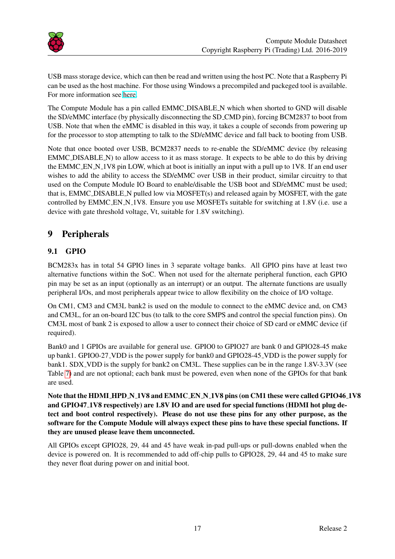

USB mass storage device, which can then be read and written using the host PC. Note that a Raspberry Pi can be used as the host machine. For those using Windows a precompiled and packeged tool is available. For more information see [here.](https://www.raspberrypi.org/documentation/hardware/computemodule/cm-emmc-flashing.md)

The Compute Module has a pin called EMMC DISABLE N which when shorted to GND will disable the SD/eMMC interface (by physically disconnecting the SD CMD pin), forcing BCM2837 to boot from USB. Note that when the eMMC is disabled in this way, it takes a couple of seconds from powering up for the processor to stop attempting to talk to the SD/eMMC device and fall back to booting from USB.

Note that once booted over USB, BCM2837 needs to re-enable the SD/eMMC device (by releasing EMMC DISABLE N) to allow access to it as mass storage. It expects to be able to do this by driving the EMMC EN N 1V8 pin LOW, which at boot is initially an input with a pull up to 1V8. If an end user wishes to add the ability to access the SD/eMMC over USB in their product, similar circuitry to that used on the Compute Module IO Board to enable/disable the USB boot and SD/eMMC must be used; that is, EMMC DISABLE N pulled low via MOSFET(s) and released again by MOSFET, with the gate controlled by EMMC EN N<sub>-1</sub>V8. Ensure you use MOSFETs suitable for switching at 1.8V (i.e. use a device with gate threshold voltage, Vt, suitable for 1.8V switching).

## <span id="page-17-0"></span>9 Peripherals

## <span id="page-17-1"></span>9.1 GPIO

BCM283x has in total 54 GPIO lines in 3 separate voltage banks. All GPIO pins have at least two alternative functions within the SoC. When not used for the alternate peripheral function, each GPIO pin may be set as an input (optionally as an interrupt) or an output. The alternate functions are usually peripheral I/Os, and most peripherals appear twice to allow flexibility on the choice of I/O voltage.

On CM1, CM3 and CM3L bank2 is used on the module to connect to the eMMC device and, on CM3 and CM3L, for an on-board I2C bus (to talk to the core SMPS and control the special function pins). On CM3L most of bank 2 is exposed to allow a user to connect their choice of SD card or eMMC device (if required).

Bank0 and 1 GPIOs are available for general use. GPIO0 to GPIO27 are bank 0 and GPIO28-45 make up bank1. GPIO0-27 VDD is the power supply for bank0 and GPIO28-45 VDD is the power supply for bank1. SDX VDD is the supply for bank2 on CM3L. These supplies can be in the range 1.8V-3.3V (see Table [7\)](#page-15-3) and are not optional; each bank must be powered, even when none of the GPIOs for that bank are used.

Note that the HDMI HPD N 1V8 and EMMC EN N 1V8 pins (on CM1 these were called GPIO46 1V8 and GPIO47 1V8 respectively) are 1.8V IO and are used for special functions (HDMI hot plug detect and boot control respectively). Please do not use these pins for any other purpose, as the software for the Compute Module will always expect these pins to have these special functions. If they are unused please leave them unconnected.

All GPIOs except GPIO28, 29, 44 and 45 have weak in-pad pull-ups or pull-downs enabled when the device is powered on. It is recommended to add off-chip pulls to GPIO28, 29, 44 and 45 to make sure they never float during power on and initial boot.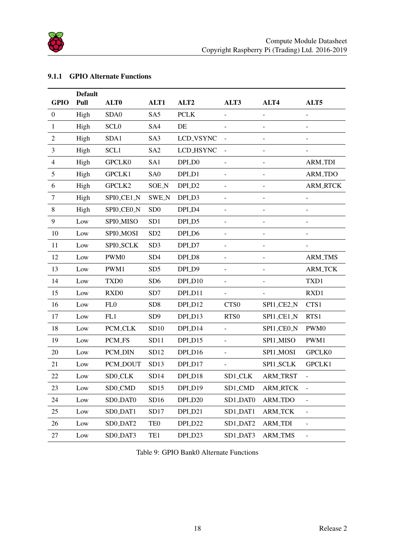

#### <span id="page-18-0"></span>9.1.1 GPIO Alternate Functions

<span id="page-18-1"></span>

|                  | <b>Default</b> |                  |                 |                  |                          |                          |                          |
|------------------|----------------|------------------|-----------------|------------------|--------------------------|--------------------------|--------------------------|
| <b>GPIO</b>      | Pull           | ALT <sub>0</sub> | ALT1            | ALT <sub>2</sub> | ALT3                     | ALT4                     | ALT5                     |
| $\boldsymbol{0}$ | High           | SDA0             | SA5             | <b>PCLK</b>      |                          | $\overline{\phantom{0}}$ | $\overline{\phantom{0}}$ |
| $\mathbf{1}$     | High           | <b>SCLO</b>      | SA4             | DE               |                          | $\blacksquare$           |                          |
| $\mathbf{2}$     | High           | SDA1             | SA3             | LCD_VSYNC        |                          | $\blacksquare$           |                          |
| 3                | High           | SCL1             | SA <sub>2</sub> | LCD_HSYNC        |                          | $\overline{\phantom{m}}$ |                          |
| $\overline{4}$   | High           | GPCLK0           | SA1             | DPI_D0           |                          | $\frac{1}{2}$            | <b>ARM_TDI</b>           |
| 5                | High           | GPCLK1           | SA <sub>0</sub> | DPI_D1           |                          |                          | ARM_TDO                  |
| 6                | High           | GPCLK2           | <b>SOE_N</b>    | DPI_D2           |                          | $\overline{\phantom{a}}$ | <b>ARM_RTCK</b>          |
| $\tau$           | High           | SPI0_CE1_N       | <b>SWE_N</b>    | DPI_D3           |                          | -                        | $\overline{a}$           |
| $\,8\,$          | High           | SPI0_CEO_N       | SD <sub>0</sub> | DPI_D4           |                          |                          |                          |
| 9                | Low            | SPI0_MISO        | SD1             | DPI_D5           |                          |                          |                          |
| 10               | Low            | SPI0_MOSI        | SD <sub>2</sub> | DPI_D6           | $\overline{a}$           | -                        | -                        |
| 11               | Low            | SPI0_SCLK        | SD <sub>3</sub> | DPI_D7           | $\blacksquare$           | -                        |                          |
| 12               | Low            | PWM0             | SD <sub>4</sub> | DPI_D8           |                          |                          | <b>ARM_TMS</b>           |
| 13               | Low            | PWM1             | SD <sub>5</sub> | DPI_D9           | $\overline{\phantom{a}}$ | $\frac{1}{2}$            | <b>ARM_TCK</b>           |
| 14               | Low            | TXD <sub>0</sub> | SD <sub>6</sub> | DPI_D10          | $\overline{a}$           | $\frac{1}{2}$            | TXD1                     |
| 15               | Low            | RXD <sub>0</sub> | SD7             | DPLD11           |                          |                          | RXD1                     |
| 16               | Low            | FL <sub>0</sub>  | SD <sub>8</sub> | DPLD12           | CTS <sub>0</sub>         | SPI1_CE2_N               | CTS1                     |
| 17               | Low            | FL1              | SD <sub>9</sub> | DPI_D13          | RTS <sub>0</sub>         | SPI1_CE1_N               | RTS1                     |
| 18               | Low            | PCM_CLK          | SD10            | DPI_D14          | $\overline{a}$           | SPI1_CE0_N               | PWM0                     |
| 19               | Low            | PCM_FS           | SD11            | DPLD15           | $\overline{a}$           | SPI1_MISO                | PWM1                     |
| 20               | Low            | PCM_DIN          | SD12            | DPI_D16          | $\overline{\phantom{a}}$ | SPI1_MOSI                | <b>GPCLK0</b>            |
| 21               | Low            | PCM_DOUT         | SD13            | DPI_D17          | $\overline{\phantom{a}}$ | SPI1_SCLK                | GPCLK1                   |
| 22               | Low            | SD0_CLK          | SD14            | DPI_D18          | SD1_CLK                  | <b>ARM_TRST</b>          | ÷,                       |
| 23               | Low            | SD0_CMD          | SD15            | DPI_D19          | SD1_CMD                  | <b>ARM_RTCK</b>          |                          |
| 24               | Low            | SD0_DAT0         | SD16            | DPI_D20          | SD1_DAT0                 | ARM_TDO                  | $\overline{\phantom{0}}$ |
| 25               | Low            | SD0_DAT1         | SD17            | DPI_D21          | SD1_DAT1                 | <b>ARM_TCK</b>           | $\overline{\phantom{0}}$ |
| 26               | Low            | SD0_DAT2         | TE <sub>0</sub> | DPI_D22          | SD1_DAT2                 | <b>ARM_TDI</b>           | $\overline{\phantom{0}}$ |
| 27               | Low            | SD0_DAT3         | TE1             | DPI_D23          | SD1_DAT3                 | <b>ARM_TMS</b>           | $\overline{\phantom{0}}$ |

Table 9: GPIO Bank0 Alternate Functions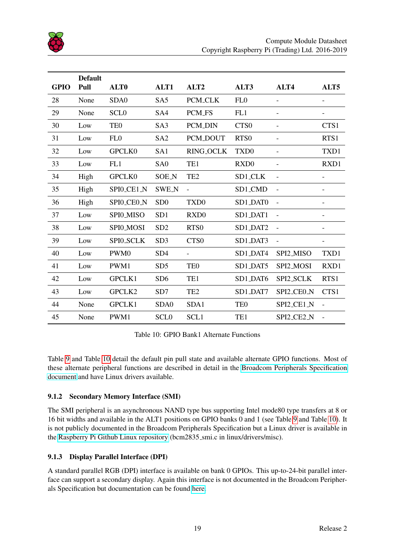

<span id="page-19-2"></span>

|             | <b>Default</b> |                  |                 |                          |                  |                          |                              |
|-------------|----------------|------------------|-----------------|--------------------------|------------------|--------------------------|------------------------------|
| <b>GPIO</b> | Pull           | ALT <sub>0</sub> | ALT1            | ALT <sub>2</sub>         | ALT3             | ALT4                     | ALT5                         |
| 28          | None           | SDA0             | SA <sub>5</sub> | PCM_CLK                  | FL <sub>0</sub>  | $\overline{\phantom{a}}$ | $\overline{\phantom{a}}$     |
| 29          | None           | <b>SCLO</b>      | SA4             | PCM_FS                   | FL1              |                          | $\qquad \qquad \blacksquare$ |
| 30          | Low            | TE <sub>0</sub>  | SA <sub>3</sub> | <b>PCM_DIN</b>           | CTS <sub>0</sub> | $\blacksquare$           | CTS1                         |
| 31          | Low            | FL <sub>0</sub>  | SA <sub>2</sub> | PCM_DOUT                 | RTS <sub>0</sub> |                          | RTS1                         |
| 32          | Low            | GPCLK0           | SA1             | <b>RING_OCLK</b>         | TXD <sub>0</sub> |                          | TXD1                         |
| 33          | Low            | FL1              | SA <sub>0</sub> | TE1                      | RXD <sub>0</sub> | $\overline{\phantom{a}}$ | RXD1                         |
| 34          | High           | <b>GPCLK0</b>    | <b>SOE_N</b>    | TE <sub>2</sub>          | SD1_CLK          |                          | $\overline{\phantom{a}}$     |
| 35          | High           | SPI0_CE1_N       | <b>SWE_N</b>    |                          | SD1_CMD          |                          |                              |
| 36          | High           | SPI0_CEO_N       | SD <sub>0</sub> | TXD <sub>0</sub>         | SD1_DAT0         |                          |                              |
| 37          | Low            | SPI0_MISO        | SD <sub>1</sub> | RXD <sub>0</sub>         | SD1_DAT1         | $\blacksquare$           | $\overline{\phantom{a}}$     |
| 38          | Low            | SPI0_MOSI        | SD <sub>2</sub> | RTS <sub>0</sub>         | SD1_DAT2         | $\overline{\phantom{a}}$ | $\overline{\phantom{a}}$     |
| 39          | Low            | SPI0_SCLK        | SD <sub>3</sub> | CTS <sub>0</sub>         | SD1_DAT3         | $\blacksquare$           | $\overline{\phantom{a}}$     |
| 40          | Low            | PWM0             | SD <sub>4</sub> | $\overline{\phantom{0}}$ | SD1_DAT4         | SPI2_MISO                | TXD1                         |
| 41          | Low            | PWM1             | SD <sub>5</sub> | TE <sub>0</sub>          | SD1_DAT5         | SPI2_MOSI                | RXD1                         |
| 42          | Low            | GPCLK1           | SD <sub>6</sub> | TE1                      | SD1_DAT6         | SPI2_SCLK                | RTS1                         |
| 43          | Low            | GPCLK2           | SD7             | TE <sub>2</sub>          | SD1_DAT7         | SPI2_CEO_N               | CTS1                         |
| 44          | None           | GPCLK1           | SDA0            | SDA1                     | TE <sub>0</sub>  | SPI2_CE1_N               | $\overline{a}$               |
| 45          | None           | PWM1             | <b>SCLO</b>     | SCL1                     | TE1              | SPI2_CE2_N               |                              |

Table 10: GPIO Bank1 Alternate Functions

Table [9](#page-18-1) and Table [10](#page-19-2) detail the default pin pull state and available alternate GPIO functions. Most of these alternate peripheral functions are described in detail in the [Broadcom Peripherals Specification](https://www.raspberrypi.org/wp-content/uploads/2012/02/BCM2835-ARM-Peripherals.pdf) [document](https://www.raspberrypi.org/wp-content/uploads/2012/02/BCM2835-ARM-Peripherals.pdf) and have Linux drivers available.

#### <span id="page-19-0"></span>9.1.2 Secondary Memory Interface (SMI)

The SMI peripheral is an asynchronous NAND type bus supporting Intel mode80 type transfers at 8 or 16 bit widths and available in the ALT1 positions on GPIO banks 0 and 1 (see Table [9](#page-18-1) and Table [10\)](#page-19-2). It is not publicly documented in the Broadcom Peripherals Specification but a Linux driver is available in the [Raspberry Pi Github Linux repository](https://github.com/raspberrypi/linux) (bcm2835\_smi.c in linux/drivers/misc).

#### <span id="page-19-1"></span>9.1.3 Display Parallel Interface (DPI)

A standard parallel RGB (DPI) interface is available on bank 0 GPIOs. This up-to-24-bit parallel interface can support a secondary display. Again this interface is not documented in the Broadcom Peripherals Specification but documentation can be found [here.](https://www.raspberrypi.org/documentation/hardware/raspberrypi/dpi/)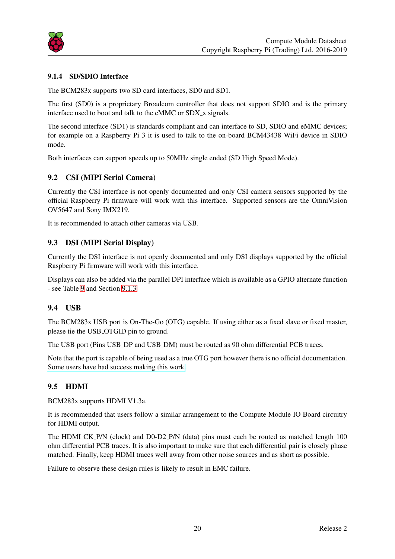

#### <span id="page-20-0"></span>9.1.4 SD/SDIO Interface

The BCM283x supports two SD card interfaces, SD0 and SD1.

The first (SD0) is a proprietary Broadcom controller that does not support SDIO and is the primary interface used to boot and talk to the eMMC or SDX<sub>-X</sub> signals.

The second interface (SD1) is standards compliant and can interface to SD, SDIO and eMMC devices; for example on a Raspberry Pi 3 it is used to talk to the on-board BCM43438 WiFi device in SDIO mode.

Both interfaces can support speeds up to 50MHz single ended (SD High Speed Mode).

#### <span id="page-20-1"></span>9.2 CSI (MIPI Serial Camera)

Currently the CSI interface is not openly documented and only CSI camera sensors supported by the official Raspberry Pi firmware will work with this interface. Supported sensors are the OmniVision OV5647 and Sony IMX219.

It is recommended to attach other cameras via USB.

#### <span id="page-20-2"></span>9.3 DSI (MIPI Serial Display)

Currently the DSI interface is not openly documented and only DSI displays supported by the official Raspberry Pi firmware will work with this interface.

Displays can also be added via the parallel DPI interface which is available as a GPIO alternate function - see Table [9](#page-18-1) and Section [9.1.3](#page-19-1)

#### <span id="page-20-3"></span>9.4 USB

The BCM283x USB port is On-The-Go (OTG) capable. If using either as a fixed slave or fixed master, please tie the USB OTGID pin to ground.

The USB port (Pins USB DP and USB DM) must be routed as 90 ohm differential PCB traces.

Note that the port is capable of being used as a true OTG port however there is no official documentation. [Some users have had success making this work.](https://learn.adafruit.com/turning-your-raspberry-pi-zero-into-a-usb-gadget/overview)

#### <span id="page-20-4"></span>9.5 HDMI

BCM283x supports HDMI V1.3a.

It is recommended that users follow a similar arrangement to the Compute Module IO Board circuitry for HDMI output.

The HDMI CK P/N (clock) and D0-D2 P/N (data) pins must each be routed as matched length 100 ohm differential PCB traces. It is also important to make sure that each differential pair is closely phase matched. Finally, keep HDMI traces well away from other noise sources and as short as possible.

Failure to observe these design rules is likely to result in EMC failure.